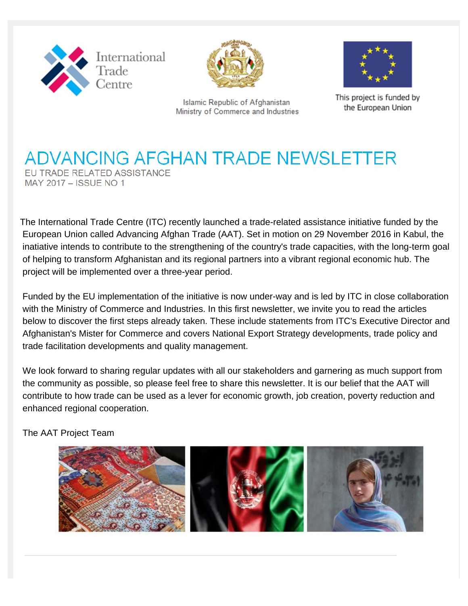



**Islamic Republic of Afghanistan** Ministry of Commerce and Industries



This project is funded by the European Union

## **ADVANCING AFGHAN TRADE NEWSLETTER** EU TRADE RELATED ASSISTANCE MAY 2017 - ISSUE NO 1

The International Trade Centre (ITC) recently launched a trade-related assistance initiative funded by the European Union called Advancing Afghan Trade (AAT). Set in motion on 29 November 2016 in Kabul, the inatiative intends to contribute to the strengthening of the country's trade capacities, with the long-term goal of helping to transform Afghanistan and its regional partners into a vibrant regional economic hub. The project will be implemented over a three-year period.

 Funded by the EU implementation of the initiative is now under-way and is led by ITC in close collaboration with the Ministry of Commerce and Industries. In this first newsletter, we invite you to read the articles below to discover the first steps already taken. These include statements from ITC's Executive Director and Afghanistan's Mister for Commerce and covers National Export Strategy developments, trade policy and trade facilitation developments and quality management.

We look forward to sharing regular updates with all our stakeholders and garnering as much support from the community as possible, so please feel free to share this newsletter. It is our belief that the AAT will contribute to how trade can be used as a lever for economic growth, job creation, poverty reduction and enhanced regional cooperation.

The AAT Project Team

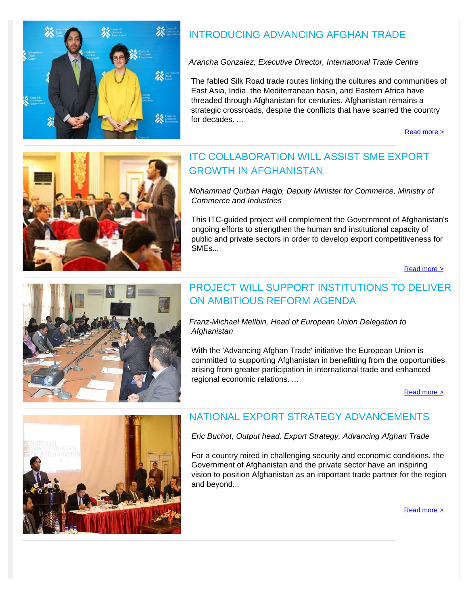

## INTRODUCING ADVANCING AFGHAN TRADE

*Arancha Gonzalez, Executive Director, International Trade Centre*

 The fabled Silk Road trade routes linking the cultures and communities of East Asia, India, the Mediterranean basin, and Eastern Africa have threaded through Afghanistan for centuries. Afghanistan remains a strategic crossroads, despite the conflicts that have scarred the country for decades

[Read more >](http://www.intracen.org/AAT/INTRODUCING-ADVANCING-AFGHAN-TRADE---A-PROJECT-TO-BOOST-ECONOMIC-GROWTH-AND-REGIONAL-COOPERATION/)



## ITC COLLABORATION WILL ASSIST SME EXPORT GROWTH IN AFGHANISTAN

*Mohammad Qurban Haqjo, Deputy Minister for Commerce, Ministry of Commerce and Industries*

This ITC-guided project will complement the Government of Afghanistan's ongoing efforts to strengthen the human and institutional capacity of public and private sectors in order to develop export competitiveness for SMEs...

[Read more >](http://www.intracen.org/AAT/ITC-COLLABORATION-WILL-ASSIST-SME-EXPORT-GROWTH-IN-AFGHANISTAN/)



#### PROJECT WILL SUPPORT INSTITUTIONS TO DELIVER ON AMBITIOUS REFORM AGENDA

*Franz-Michael Mellbin, Head of European Union Delegation to Afghanistan*

 With the 'Advancing Afghan Trade' initiative the European Union is committed to supporting Afghanistan in benefitting from the opportunities arising from greater participation in international trade and enhanced regional economic relations. ...

[Read more >](http://www.intracen.org/AAT/PROJECT-WILL-SUPPORT-INSTITUTIONS-TO-DELIVER-ON-AMBITIOUS-REFORM-AGENDA/)



#### NATIONAL EXPORT STRATEGY ADVANCEMENTS

*Eric Buchot, Output head, Export Strategy, Advancing Afghan Trade*

For a country mired in challenging security and economic conditions, the Government of Afghanistan and the private sector have an inspiring vision to position Afghanistan as an important trade partner for the region and beyond...

[Read more >](http://www.intracen.org/AAT/NATIONAL-EXPORT-STRATEGY-ADVANCEMENTS/)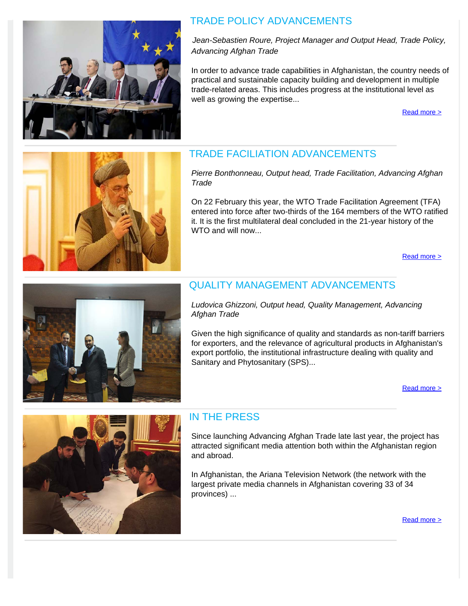

#### TRADE POLICY ADVANCEMENTS

 *Advancing Afghan Trade Jean-Sebastien Roure, Project Manager and Output Head, Trade Policy,*

 In order to advance trade capabilities in Afghanistan, the country needs of practical and sustainable capacity building and development in multiple trade-related areas. This includes progress at the institutional level as well as growing the expertise...

[Read more >](http://www.intracen.org/AAT/TRADE-POLICY-ADVANCEMENTS1/)



#### TRADE FACILIATION ADVANCEMENTS

*Pierre Bonthonneau, Output head, Trade Facilitation, Advancing Afghan Trade*

On 22 February this year, the WTO Trade Facilitation Agreement (TFA) entered into force after two-thirds of the 164 members of the WTO ratified it. It is the first multilateral deal concluded in the 21-year history of the WTO and will now...

[Read more >](http://www.intracen.org/AAT/TRADE-FACILITATION-ADVANCEMENTS/)



### QUALITY MANAGEMENT ADVANCEMENTS

*Ludovica Ghizzoni, Output head, Quality Management, Advancing Afghan Trade*

Given the high significance of quality and standards as non-tariff barriers for exporters, and the relevance of agricultural products in Afghanistan's export portfolio, the institutional infrastructure dealing with quality and Sanitary and Phytosanitary (SPS)...

[Read more >](http://www.intracen.org/AAT/QUALITY-MANAGEMENT-ADVANCEMENTS/)



#### IN THE PRESS

Since launching Advancing Afghan Trade late last year, the project has attracted significant media attention both within the Afghanistan region and abroad.

In Afghanistan, the Ariana Television Network (the network with the largest private media channels in Afghanistan covering 33 of 34 provinces) ...

[Read more >](http://www.intracen.org/uploadedFiles/intracenorg/Content/Redesign/Projects/AAT/05_pdf_Newsletter_Press (003).pdf)